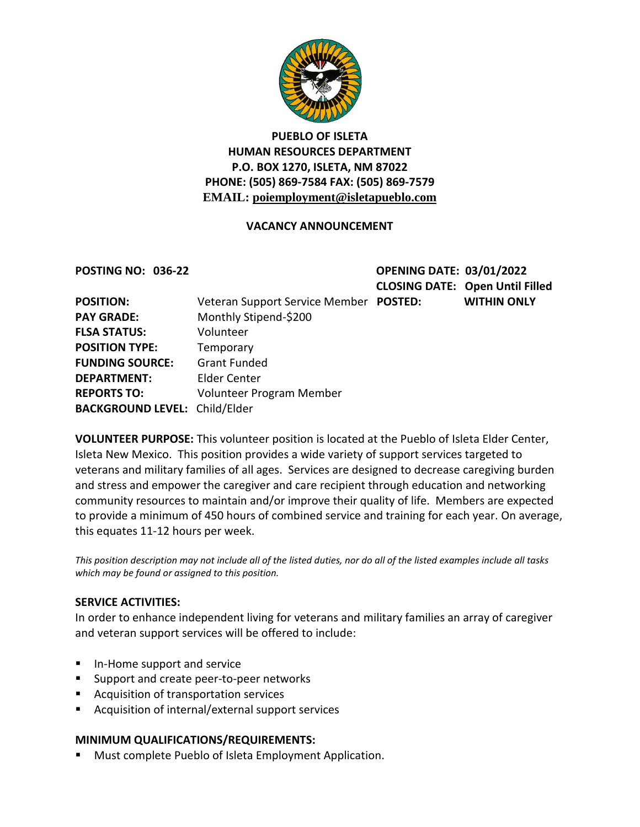

# **PUEBLO OF ISLETA HUMAN RESOURCES DEPARTMENT P.O. BOX 1270, ISLETA, NM 87022 PHONE: (505) 869-7584 FAX: (505) 869-7579 EMAIL: poiemployment@isletapueblo.com**

## **VACANCY ANNOUNCEMENT**

**POSTING NO: 036-22 OPENING DATE: 03/01/2022 CLOSING DATE: Open Until Filled POSTED: WITHIN ONLY** 

| <b>POSITION:</b>                     | Veteran Support Service Mem |
|--------------------------------------|-----------------------------|
| <b>PAY GRADE:</b>                    | Monthly Stipend-\$200       |
| <b>FLSA STATUS:</b>                  | Volunteer                   |
| <b>POSITION TYPE:</b>                | Temporary                   |
| <b>FUNDING SOURCE:</b>               | <b>Grant Funded</b>         |
| <b>DEPARTMENT:</b>                   | Elder Center                |
| <b>REPORTS TO:</b>                   | Volunteer Program Member    |
| <b>BACKGROUND LEVEL: Child/Elder</b> |                             |

**VOLUNTEER PURPOSE:** This volunteer position is located at the Pueblo of Isleta Elder Center, Isleta New Mexico. This position provides a wide variety of support services targeted to veterans and military families of all ages. Services are designed to decrease caregiving burden and stress and empower the caregiver and care recipient through education and networking community resources to maintain and/or improve their quality of life. Members are expected to provide a minimum of 450 hours of combined service and training for each year. On average, this equates 11-12 hours per week.

*This position description may not include all of the listed duties, nor do all of the listed examples include all tasks which may be found or assigned to this position.*

### **SERVICE ACTIVITIES:**

In order to enhance independent living for veterans and military families an array of caregiver and veteran support services will be offered to include:

- **In-Home support and service**
- **Support and create peer-to-peer networks**
- **Acquisition of transportation services**
- Acquisition of internal/external support services

### **MINIMUM QUALIFICATIONS/REQUIREMENTS:**

**Must complete Pueblo of Isleta Employment Application.**